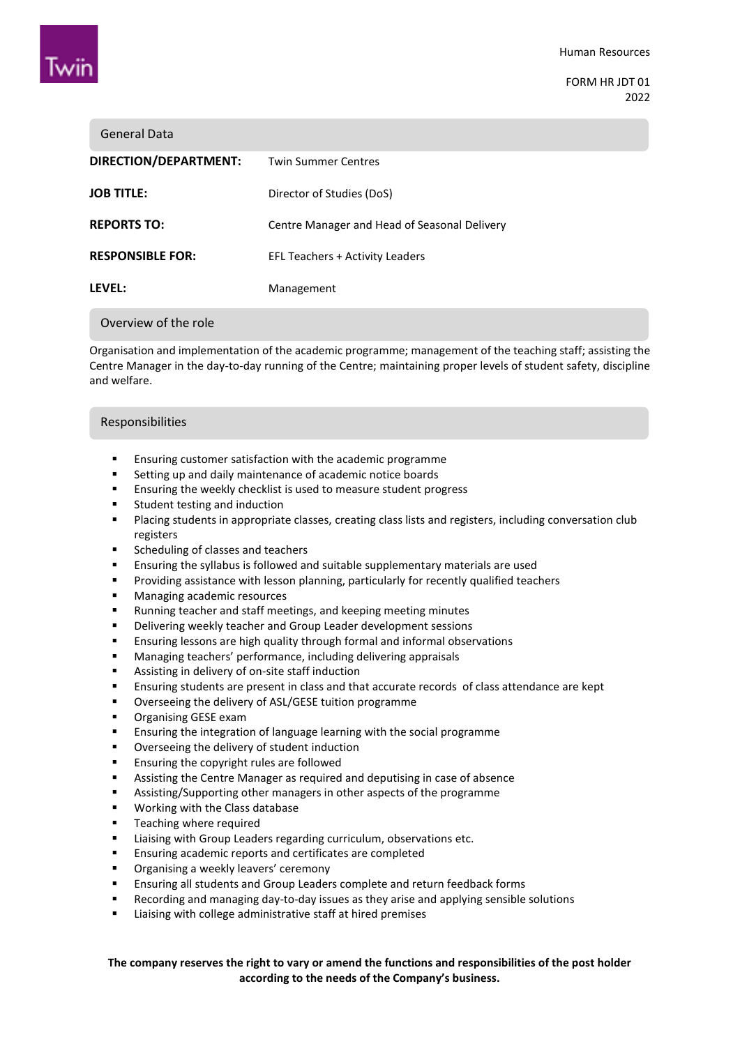

FORM HR JDT 01 2022

| <b>General Data</b>     |                                              |
|-------------------------|----------------------------------------------|
| DIRECTION/DEPARTMENT:   | <b>Twin Summer Centres</b>                   |
| <b>JOB TITLE:</b>       | Director of Studies (DoS)                    |
| <b>REPORTS TO:</b>      | Centre Manager and Head of Seasonal Delivery |
| <b>RESPONSIBLE FOR:</b> | <b>EFL Teachers + Activity Leaders</b>       |
| LEVEL:                  | Management                                   |
| Overview of the role    |                                              |

Organisation and implementation of the academic programme; management of the teaching staff; assisting the Centre Manager in the day-to-day running of the Centre; maintaining proper levels of student safety, discipline and welfare.

#### Responsibilities

- Ensuring customer satisfaction with the academic programme
- Setting up and daily maintenance of academic notice boards
- **Ensuring the weekly checklist is used to measure student progress**
- **EXECUTE:** Student testing and induction
- Placing students in appropriate classes, creating class lists and registers, including conversation club registers
- **EXECUTER Scheduling of classes and teachers**
- Ensuring the syllabus is followed and suitable supplementary materials are used
- **Providing assistance with lesson planning, particularly for recently qualified teachers**
- **Managing academic resources**
- Running teacher and staff meetings, and keeping meeting minutes
- **•** Delivering weekly teacher and Group Leader development sessions
- Ensuring lessons are high quality through formal and informal observations
- Managing teachers' performance, including delivering appraisals
- **Assisting in delivery of on-site staff induction**
- Ensuring students are present in class and that accurate records of class attendance are kept
- **•** Overseeing the delivery of ASL/GESE tuition programme
- **•** Organising GESE exam
- Ensuring the integration of language learning with the social programme
- Overseeing the delivery of student induction
- **Ensuring the copyright rules are followed**
- Assisting the Centre Manager as required and deputising in case of absence
- Assisting/Supporting other managers in other aspects of the programme
- **Working with the Class database**
- **Teaching where required**
- Liaising with Group Leaders regarding curriculum, observations etc.
- **Ensuring academic reports and certificates are completed**
- **Divides** Organising a weekly leavers' ceremony
- Ensuring all students and Group Leaders complete and return feedback forms
- Recording and managing day-to-day issues as they arise and applying sensible solutions
- Liaising with college administrative staff at hired premises

**The company reserves the right to vary or amend the functions and responsibilities of the post holder according to the needs of the Company's business.**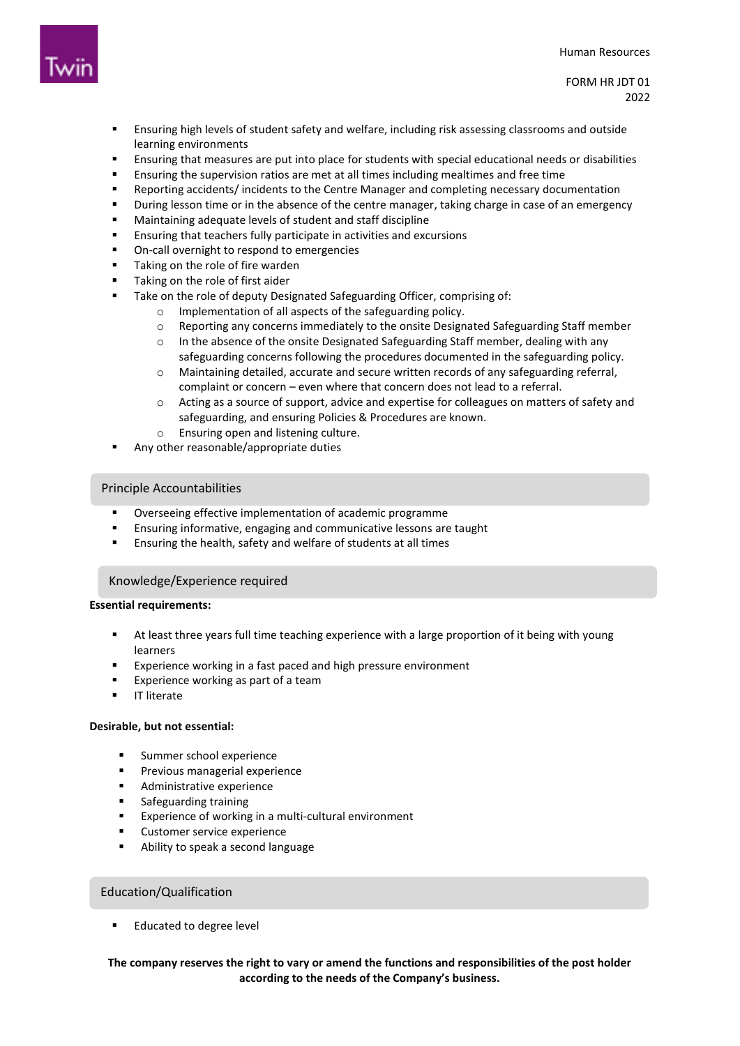

FORM HR JDT 01 2022

- Ensuring high levels of student safety and welfare, including risk assessing classrooms and outside learning environments
- Ensuring that measures are put into place for students with special educational needs or disabilities
- Ensuring the supervision ratios are met at all times including mealtimes and free time
- Reporting accidents/ incidents to the Centre Manager and completing necessary documentation
- **•** During lesson time or in the absence of the centre manager, taking charge in case of an emergency
- Maintaining adequate levels of student and staff discipline
- Ensuring that teachers fully participate in activities and excursions
- On-call overnight to respond to emergencies
- Taking on the role of fire warden
- Taking on the role of first aider
- Take on the role of deputy Designated Safeguarding Officer, comprising of:
	- o Implementation of all aspects of the safeguarding policy.
	- o Reporting any concerns immediately to the onsite Designated Safeguarding Staff member
	- $\circ$  In the absence of the onsite Designated Safeguarding Staff member, dealing with any safeguarding concerns following the procedures documented in the safeguarding policy.
	- o Maintaining detailed, accurate and secure written records of any safeguarding referral, complaint or concern – even where that concern does not lead to a referral.
	- $\circ$  Acting as a source of support, advice and expertise for colleagues on matters of safety and safeguarding, and ensuring Policies & Procedures are known.
	- o Ensuring open and listening culture.
- Any other reasonable/appropriate duties

## Principle Accountabilities

- Overseeing effective implementation of academic programme
- Ensuring informative, engaging and communicative lessons are taught
- Ensuring the health, safety and welfare of students at all times

#### At least three years full time teaching experience with a large proportion of it being with young with young with young with young with young with young with young with young with young with young with young with young wit Knowledge/Experience required

## **Essential requirements:**

- At least three years full time teaching experience with a large proportion of it being with young learners
- Experience working in a fast paced and high pressure environment
- Experience working as part of a team
- IT literate

## **Desirable, but not essential:**

- **Summer school experience**
- **Previous managerial experience**
- **Administrative experience**
- **Safeguarding training**
- Experience of working in a multi-cultural environment
- Customer service experience
- Ability to speak a second language

# Education/Qualification

Educated to degree level

# **The company reserves the right to vary or amend the functions and responsibilities of the post holder according to the needs of the Company's business.**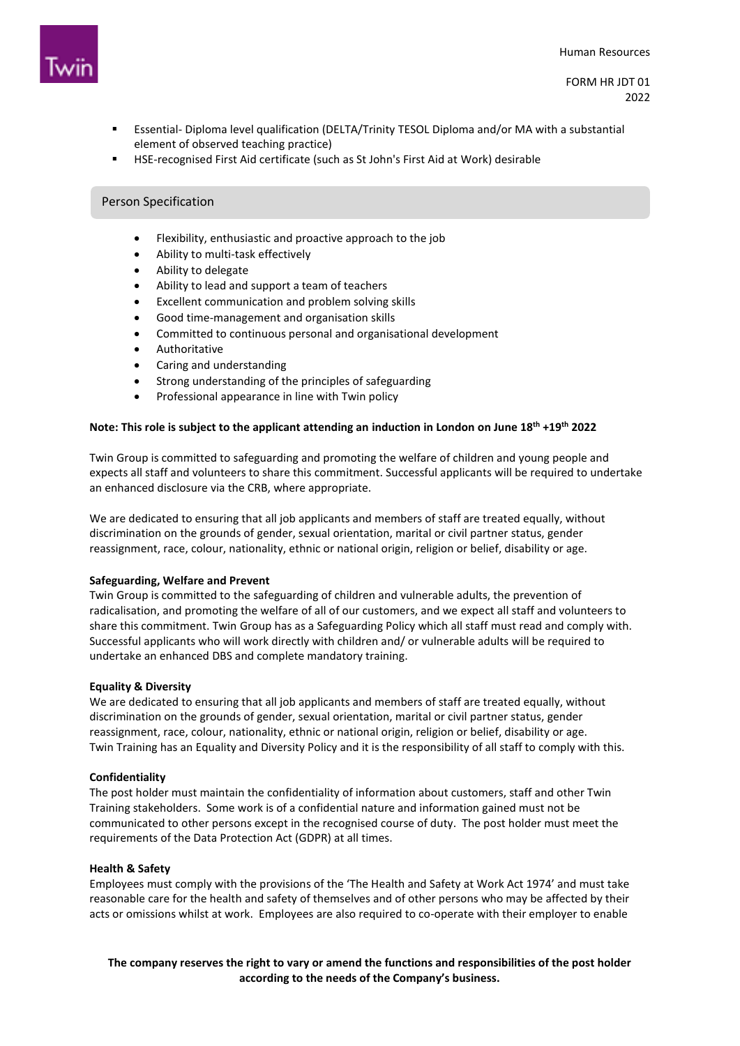

- Essential- Diploma level qualification (DELTA/Trinity TESOL Diploma and/or MA with a substantial element of observed teaching practice)
- HSE-recognised First Aid certificate (such as St John's First Aid at Work) desirable

## Person Specification

- Flexibility, enthusiastic and proactive approach to the job
- Ability to multi-task effectively
- Ability to delegate
- Ability to lead and support a team of teachers
- Excellent communication and problem solving skills
- Good time-management and organisation skills
- Committed to continuous personal and organisational development
- Authoritative
- Caring and understanding
- Strong understanding of the principles of safeguarding
- Professional appearance in line with Twin policy

## **Note: This role is subject to the applicant attending an induction in London on June 18th +19th 2022**

Twin Group is committed to safeguarding and promoting the welfare of children and young people and expects all staff and volunteers to share this commitment. Successful applicants will be required to undertake an enhanced disclosure via the CRB, where appropriate.

We are dedicated to ensuring that all job applicants and members of staff are treated equally, without discrimination on the grounds of gender, sexual orientation, marital or civil partner status, gender reassignment, race, colour, nationality, ethnic or national origin, religion or belief, disability or age.

## **Safeguarding, Welfare and Prevent**

Twin Group is committed to the safeguarding of children and vulnerable adults, the prevention of radicalisation, and promoting the welfare of all of our customers, and we expect all staff and volunteers to share this commitment. Twin Group has as a Safeguarding Policy which all staff must read and comply with. Successful applicants who will work directly with children and/ or vulnerable adults will be required to undertake an enhanced DBS and complete mandatory training.

## **Equality & Diversity**

We are dedicated to ensuring that all job applicants and members of staff are treated equally, without discrimination on the grounds of gender, sexual orientation, marital or civil partner status, gender reassignment, race, colour, nationality, ethnic or national origin, religion or belief, disability or age. Twin Training has an Equality and Diversity Policy and it is the responsibility of all staff to comply with this.

## **Confidentiality**

The post holder must maintain the confidentiality of information about customers, staff and other Twin Training stakeholders. Some work is of a confidential nature and information gained must not be communicated to other persons except in the recognised course of duty. The post holder must meet the requirements of the Data Protection Act (GDPR) at all times.

## **Health & Safety**

Employees must comply with the provisions of the 'The Health and Safety at Work Act 1974' and must take reasonable care for the health and safety of themselves and of other persons who may be affected by their acts or omissions whilst at work. Employees are also required to co-operate with their employer to enable

**The company reserves the right to vary or amend the functions and responsibilities of the post holder according to the needs of the Company's business.**